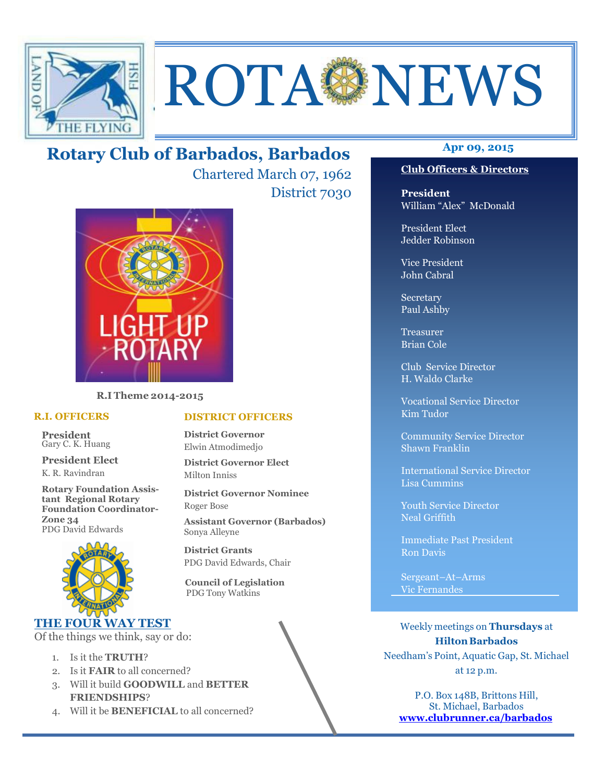

# ROTA NEWS

## **Apr 09, 2015 Rotary Club of Barbados, Barbados**

Chartered March 07, 1962 District 7030

**DISTRICT OFFICERS**

**District Governor Elect**

PDG David Edwards, Chair

 **Council of Legislation**  PDG Tony Watkins

**District Governor Nominee** 

**Assistant Governor (Barbados)**

**District Governor** Elwin Atmodimedjo

Milton Inniss

Roger Bose

Sonya Alleyne **District Grants** 



**R.I Theme 2014-2015** 

#### **R.I. OFFICERS**

**President** Gary C. K. Huang

**President Elect** K. R. Ravindran

**Rotary Foundation Assistant Regional Rotary Foundation Coordinator-Zone 34**  PDG David Edwards



## **THE FOUR WAY TEST**

Of the things we think, say or do:

- 1. Is it the **TRUTH**?
- 2. Is it **FAIR** to all concerned?
- 3. Will it build **GOODWILL** and **BETTER FRIENDSHIPS**?
- 4. Will it be **BENEFICIAL** to all concerned?

## **Club Officers & Directors**

**President** William "Alex" McDonald

President Elect Jedder Robinson

Vice President John Cabral

Secretary Paul Ashby

Treasurer Brian Cole

Club Service Director H. Waldo Clarke

Vocational Service Director Kim Tudor

Community Service Director Shawn Franklin

International Service Director Lisa Cummins

Youth Service Director Neal Griffith

Immediate Past President Ron Davis

Sergeant–At–Arms Vic Fernandes

Weekly meetings on **Thursdays** at **Hilton Barbados** Needham's Point, Aquatic Gap, St. Michael at 12 p.m.

P.O. Box 148B, Brittons Hill, St. Michael, Barbados **www.clubrunner.ca/barbados**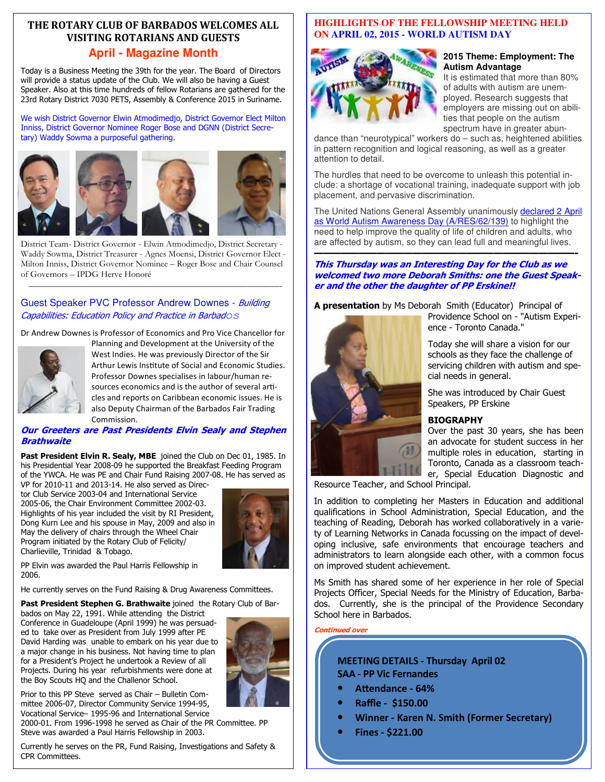## **THE ROTARY CLUB OF BARBADOS WELCOMES ALL VISITING ROTARIANS AND GUESTS**

#### **April - Magazine Month**

Today is a Business Meeting the 39th for the year. The Board of Directors will provide a status update of the Club. We will also be having a Guest Speaker. Also at this time hundreds of fellow Rotarians are gathered for the 23rd Rotary District 7030 PETS, Assembly & Conference 2015 in Suriname.

We wish District Governor Elwin Atmodimedjo, District Governor Elect Milton Inniss, District Governor Nominee Roger Bose and DGNN (District Secretary) Waddy Sowma a purposeful gathering.



District Team- District Governor - Elwin Atmodimedjo, District Secretary - Waddy Sowma, District Treasurer - Agnes Moensi, District Governor Elect - Milton Inniss, District Governor Nominee – Roger Bose and Chair Counsel of Governors – IPDG Herve Honoré

———————————————————————————————-

#### Guest Speaker PVC Professor Andrew Downes - Building Capabilities: Education Policy and Practice in Barbados

Dr Andrew Downes is Professor of Economics and Pro Vice Chancellor for



Planning and Development at the University of the West Indies. He was previously Director of the Sir Arthur Lewis Institute of Social and Economic Studies. Professor Downes specialises in labour/human resources economics and is the author of several articles and reports on Caribbean economic issues. He is also Deputy Chairman of the Barbados Fair Trading Commission.

#### **Our Greeters are Past Presidents Elvin Sealy and Stephen Brathwaite**

**Past President Elvin R. Sealy, MBE** joined the Club on Dec 01, 1985. In his Presidential Year 2008-09 he supported the Breakfast Feeding Program of the YWCA. He was PE and Chair Fund Raising 2007-08. He has served as VP for 2010-11 and 2013-14. He also served as Direc-

tor Club Service 2003-04 and International Service 2005-06, the Chair Environment Committee 2002-03. Highlights of his year included the visit by RI President, Dong Kurn Lee and his spouse in May, 2009 and also in May the delivery of chairs through the Wheel Chair Program initiated by the Rotary Club of Felicity/ Charlieville, Trinidad & Tobago.



PP Elvin was awarded the Paul Harris Fellowship in 2006.

He currently serves on the Fund Raising & Drug Awareness Committees.

Past President Stephen G. Brathwaite joined the Rotary Club of Bar-

bados on May 22, 1991. While attending the District Conference in Guadeloupe (April 1999) he was persuaded to take over as President from July 1999 after PE David Harding was unable to embark on his year due to a major change in his business. Not having time to plan for a President's Project he undertook a Review of all Projects. During his year refurbishments were done at the Boy Scouts HQ and the Challenor School.



Prior to this PP Steve served as Chair – Bulletin Committee 2006-07, Director Community Service 1994-95, Vocational Service– 1995-96 and International Service

2000-01. From 1996-1998 he served as Chair of the PR Committee. PP Steve was awarded a Paul Harris Fellowship in 2003.

 Currently he serves on the PR, Fund Raising, Investigations and Safety & CPR Committees.

#### **HIGHLIGHTS OF THE FELLOWSHIP MEETING HELD ON APRIL 02, 2015 - WORLD AUTISM DAY**



#### **2015 Theme: Employment: The Autism Advantage**

It is estimated that more than 80% of adults with autism are unemployed. Research suggests that employers are missing out on abilities that people on the autism spectrum have in greater abun-

dance than "neurotypical" workers do – such as, heightened abilities in pattern recognition and logical reasoning, as well as a greater attention to detail.

The hurdles that need to be overcome to unleash this potential include: a shortage of vocational training, inadequate support with job placement, and pervasive discrimination.

The United Nations General Assembly unanimously declared 2 April as World Autism Awareness Day (A/RES/62/139) to highlight the need to help improve the quality of life of children and adults, who are affected by autism, so they can lead full and meaningful lives.

#### **—————————————————————————————- This Thursday was an Interesting Day for the Club as we welcomed two more Deborah Smiths: one the Guest Speaker and the other the daughter of PP Erskine!!**

**A presentation** by Ms Deborah Smith (Educator) Principal of



Providence School on - "Autism Experience - Toronto Canada."

Today she will share a vision for our schools as they face the challenge of servicing children with autism and special needs in general.

She was introduced by Chair Guest Speakers, PP Erskine

#### **BIOGRAPHY**

Over the past 30 years, she has been an advocate for student success in her multiple roles in education, starting in Toronto, Canada as a classroom teacher, Special Education Diagnostic and

Resource Teacher, and School Principal.

In addition to completing her Masters in Education and additional qualifications in School Administration, Special Education, and the teaching of Reading, Deborah has worked collaboratively in a variety of Learning Networks in Canada focussing on the impact of developing inclusive, safe environments that encourage teachers and administrators to learn alongside each other, with a common focus on improved student achievement.

Ms Smith has shared some of her experience in her role of Special Projects Officer, Special Needs for the Ministry of Education, Barbados. Currently, she is the principal of the Providence Secondary School here in Barbados.

#### **Continued over**

#### **MEETING DETAILS - Thursday April 02 SAA - PP Vic Fernandes**

- Attendance 64%
- **Raffle \$150.00**
- **Winner Karen N. Smith (Former Secretary)**
- **Fines \$221.00**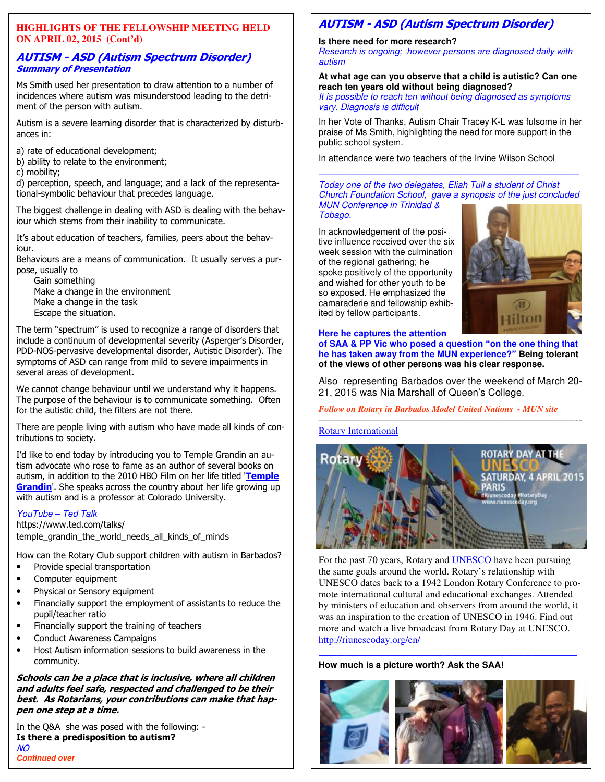#### **HIGHLIGHTS OF THE FELLOWSHIP MEETING HELD ON APRIL 02, 2015 (Cont'd)**

#### **AUTISM - ASD (Autism Spectrum Disorder) Summary of Presentation**

Ms Smith used her presentation to draw attention to a number of incidences where autism was misunderstood leading to the detriment of the person with autism.

Autism is a severe learning disorder that is characterized by disturbances in:

a) rate of educational development;

- b) ability to relate to the environment;
- c) mobility;

d) perception, speech, and language; and a lack of the representational-symbolic behaviour that precedes language.

The biggest challenge in dealing with ASD is dealing with the behaviour which stems from their inability to communicate.

It's about education of teachers, families, peers about the behaviour.

Behaviours are a means of communication. It usually serves a purpose, usually to

Gain something Make a change in the environment Make a change in the task Escape the situation.

The term "spectrum" is used to recognize a range of disorders that include a continuum of developmental severity (Asperger's Disorder, PDD-NOS-pervasive developmental disorder, Autistic Disorder). The symptoms of ASD can range from mild to severe impairments in several areas of development.

We cannot change behaviour until we understand why it happens. The purpose of the behaviour is to communicate something. Often for the autistic child, the filters are not there.

There are people living with autism who have made all kinds of contributions to society.

I'd like to end today by introducing you to Temple Grandin an autism advocate who rose to fame as an author of several books on autism, in addition to the 2010 HBO Film on her life titled '**Temple Grandin**'. She speaks across the country about her life growing up with autism and is a professor at Colorado University.

#### YouTube – Ted Talk

https://www.ted.com/talks/ temple grandin the world needs all kinds of minds

How can the Rotary Club support children with autism in Barbados?

- Provide special transportation
- Computer equipment
- Physical or Sensory equipment
- Financially support the employment of assistants to reduce the pupil/teacher ratio
- Financially support the training of teachers
- Conduct Awareness Campaigns
- Host Autism information sessions to build awareness in the community.

**Schools can be a place that is inclusive, where all children and adults feel safe, respected and challenged to be their best. As Rotarians, your contributions can make that happen one step at a time.** 

 **Is there a predisposition to autism?**  In the Q&A she was posed with the following: - NO **Continued over** 

## **AUTISM - ASD (Autism Spectrum Disorder)**

#### **Is there need for more research?**

*Research is ongoing; however persons are diagnosed daily with*  autism

#### **At what age can you observe that a child is autistic? Can one reach ten years old without being diagnosed?**

It is possible to reach ten without being diagnosed as symptoms vary. Diagnosis is difficult

In her Vote of Thanks, Autism Chair Tracey K-L was fulsome in her praise of Ms Smith, highlighting the need for more support in the public school system.

In attendance were two teachers of the Irvine Wilson School

#### $\frac{1}{\sqrt{2}}$  ,  $\frac{1}{\sqrt{2}}$  ,  $\frac{1}{\sqrt{2}}$  ,  $\frac{1}{\sqrt{2}}$  ,  $\frac{1}{\sqrt{2}}$  ,  $\frac{1}{\sqrt{2}}$  ,  $\frac{1}{\sqrt{2}}$  ,  $\frac{1}{\sqrt{2}}$  ,  $\frac{1}{\sqrt{2}}$  ,  $\frac{1}{\sqrt{2}}$  ,  $\frac{1}{\sqrt{2}}$  ,  $\frac{1}{\sqrt{2}}$  ,  $\frac{1}{\sqrt{2}}$  ,  $\frac{1}{\sqrt{2}}$  ,  $\frac{1}{\sqrt{2}}$ Today one of the two delegates, Eliah Tull a student of Christ Church Foundation School, gave a synopsis of the just concluded MUN Conference in Trinidad & Tobago.

In acknowledgement of the positive influence received over the six week session with the culmination of the regional gathering; he spoke positively of the opportunity and wished for other youth to be so exposed. He emphasized the camaraderie and fellowship exhibited by fellow participants.



## **Here he captures the attention of SAA & PP Vic who posed a question "on the one thing that**

**he has taken away from the MUN experience?" Being tolerant of the views of other persons was his clear response.** 

Also representing Barbados over the weekend of March 20- 21, 2015 was Nia Marshall of Queen's College.

——————————————————————————--

*Follow on Rotary in Barbados Model United Nations - MUN site* 

#### Rotary International



For the past 70 years, Rotary and UNESCO have been pursuing the same goals around the world. Rotary's relationship with UNESCO dates back to a 1942 London Rotary Conference to promote international cultural and educational exchanges. Attended by ministers of education and observers from around the world, it was an inspiration to the creation of UNESCO in 1946. Find out more and watch a live broadcast from Rotary Day at UNESCO. http://riunescoday.org/en/

#### $\frac{1}{\sqrt{2}}$  ,  $\frac{1}{\sqrt{2}}$  ,  $\frac{1}{\sqrt{2}}$  ,  $\frac{1}{\sqrt{2}}$  ,  $\frac{1}{\sqrt{2}}$  ,  $\frac{1}{\sqrt{2}}$  ,  $\frac{1}{\sqrt{2}}$  ,  $\frac{1}{\sqrt{2}}$  ,  $\frac{1}{\sqrt{2}}$  ,  $\frac{1}{\sqrt{2}}$  ,  $\frac{1}{\sqrt{2}}$  ,  $\frac{1}{\sqrt{2}}$  ,  $\frac{1}{\sqrt{2}}$  ,  $\frac{1}{\sqrt{2}}$  ,  $\frac{1}{\sqrt{2}}$ **How much is a picture worth? Ask the SAA!**